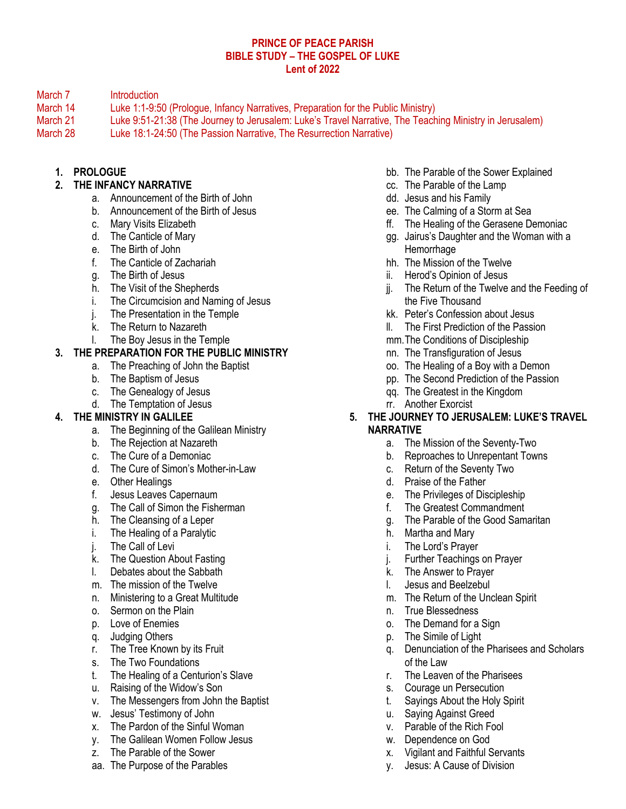#### **PRINCE OF PEACE PARISH BIBLE STUDY – THE GOSPEL OF LUKE Lent of 2022**

March 7 Introduction

- March 14 Luke 1:1-9:50 (Prologue, Infancy Narratives, Preparation for the Public Ministry)
- March 21 Luke 9:51-21:38 (The Journey to Jerusalem: Luke's Travel Narrative, The Teaching Ministry in Jerusalem)
- March 28 Luke 18:1-24:50 (The Passion Narrative, The Resurrection Narrative)

## **1. PROLOGUE**

# **2. THE INFANCY NARRATIVE**

- a. Announcement of the Birth of John
- b. Announcement of the Birth of Jesus
- c. Mary Visits Elizabeth
- d. The Canticle of Mary
- e. The Birth of John
- f. The Canticle of Zachariah
- g. The Birth of Jesus
- h. The Visit of the Shepherds
- i. The Circumcision and Naming of Jesus
- j. The Presentation in the Temple
- k. The Return to Nazareth
- l. The Boy Jesus in the Temple

### **3. THE PREPARATION FOR THE PUBLIC MINISTRY**

- a. The Preaching of John the Baptist
	- b. The Baptism of Jesus
	- c. The Genealogy of Jesus
- d. The Temptation of Jesus

### **4. THE MINISTRY IN GALILEE**

- a. The Beginning of the Galilean Ministry
- b. The Rejection at Nazareth
- c. The Cure of a Demoniac
- d. The Cure of Simon's Mother-in-Law
- e. Other Healings
- f. Jesus Leaves Capernaum
- g. The Call of Simon the Fisherman
- h. The Cleansing of a Leper
- i. The Healing of a Paralytic
- j. The Call of Levi
- k. The Question About Fasting
- l. Debates about the Sabbath
- m. The mission of the Twelve
- n. Ministering to a Great Multitude
- o. Sermon on the Plain
- p. Love of Enemies
- q. Judging Others
- r. The Tree Known by its Fruit
- s. The Two Foundations
- t. The Healing of a Centurion's Slave
- u. Raising of the Widow's Son
- v. The Messengers from John the Baptist
- w. Jesus' Testimony of John
- x. The Pardon of the Sinful Woman
- y. The Galilean Women Follow Jesus
- z. The Parable of the Sower
- aa. The Purpose of the Parables
- bb. The Parable of the Sower Explained
- cc. The Parable of the Lamp
- dd. Jesus and his Family
- ee. The Calming of a Storm at Sea
- ff. The Healing of the Gerasene Demoniac
- gg. Jairus's Daughter and the Woman with a **Hemorrhage**
- hh. The Mission of the Twelve
- ii. Herod's Opinion of Jesus
- jj. The Return of the Twelve and the Feeding of the Five Thousand
- kk. Peter's Confession about Jesus
- ll. The First Prediction of the Passion
- mm.The Conditions of Discipleship
- nn. The Transfiguration of Jesus
- oo. The Healing of a Boy with a Demon
- pp. The Second Prediction of the Passion
- qq. The Greatest in the Kingdom
- rr. Another Exorcist
- **5. THE JOURNEY TO JERUSALEM: LUKE'S TRAVEL NARRATIVE**
	- a. The Mission of the Seventy-Two
	- b. Reproaches to Unrepentant Towns
	- c. Return of the Seventy Two
	- d. Praise of the Father
	- e. The Privileges of Discipleship
	- f. The Greatest Commandment
	- g. The Parable of the Good Samaritan
	- h. Martha and Mary
	- i. The Lord's Prayer
	- j. Further Teachings on Prayer
	- k. The Answer to Prayer
	- l. Jesus and Beelzebul
	- m. The Return of the Unclean Spirit
	- n. True Blessedness
	- o. The Demand for a Sign
	- p. The Simile of Light
	- q. Denunciation of the Pharisees and Scholars of the Law
	- r. The Leaven of the Pharisees
	- s. Courage un Persecution
	- t. Sayings About the Holy Spirit
	- u. Saying Against Greed
	- v. Parable of the Rich Fool
	- w. Dependence on God
	- x. Vigilant and Faithful Servants
	- y. Jesus: A Cause of Division